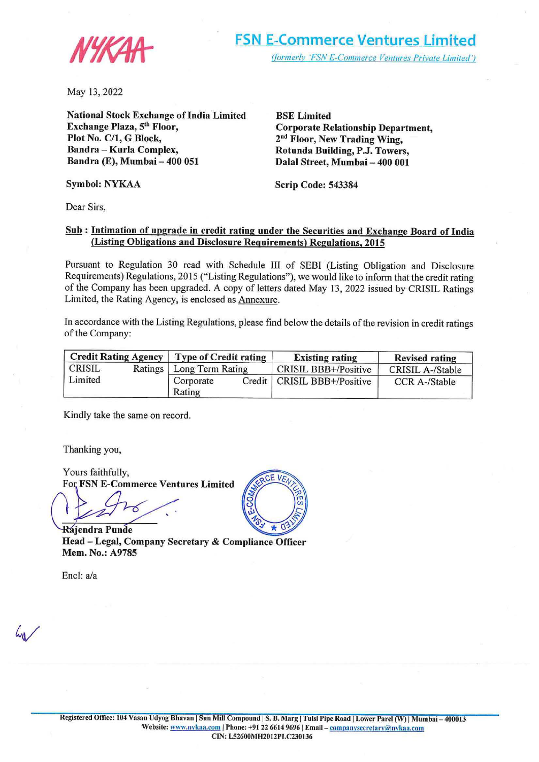

May 13, 2022

**National Stock Exchange of India Limited Exchange Plaza, 5th Floor, Plot No. C/1, G Block, Bandra** - **Koria Complex, Bandra (E), Mumbai** - **400 051** 

**BSE Limited Corporate Relationship Department, 2nd Floor, New Trading Wing, Rotunda Building, P.J. Towers, Dalal Street, Mumbai- 400 001** 

**Symbol: NYKAA** 

**Scrip Code: 543384** 

Dear Sirs,

### **Sub** : **Intimation of upgrade in credit rating under the Securities and Exchange Board of India (Listing Obligations and Disclosure Requirements) Regulations, 2015**

Pursuant to Regulation 30 read with Schedule III of SEBI (Listing Obligation and Disclosure Requirements) Regulations, 2015 ("Listing Regulations"), we would like to inform that the credit rating of the Company has been upgraded. A copy of letters dated May 13, 2022 issued by CRISIL Ratings Limited, the Rating Agency, is enclosed as Annexure.

In accordance with the Listing Regulations, please find below the details of the revision in credit ratings of the Company:

| Credit Rating Agency   Type of Credit rating |  |                            |  | <b>Existing rating</b>        | <b>Revised rating</b> |
|----------------------------------------------|--|----------------------------|--|-------------------------------|-----------------------|
| CRISIL                                       |  | Ratings   Long Term Rating |  | CRISIL BBB+/Positive          | CRISIL A-/Stable      |
| Limited                                      |  | Corporate<br>Rating        |  | Credit   CRISIL BBB+/Positive | <b>CCR A-/Stable</b>  |

Kindly take the same on record.

Thanking you,

Yours faithfully, For **FSN E-Commerce Ventures Limited** 

'

**Rajendra Punde Head** - **Legal, Company Secretary** & **Compliance Officer Mem. No.: A9785** 

Encl: a/a

 $41$ 

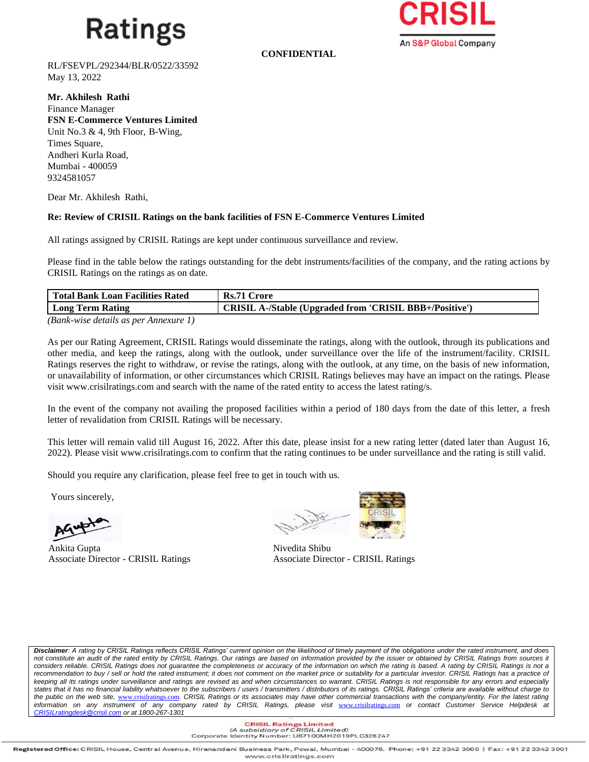## **Ratings**

An S&P Global Company

**CONFIDENTIAL**

RL/FSEVPL/292344/BLR/0522/33592 May 13, 2022

**Mr. Akhilesh Rathi**  Finance Manager **FSN E-Commerce Ventures Limited** Unit No.3 & 4, 9th Floor, B-Wing, Times Square, Andheri Kurla Road, Mumbai - 400059 9324581057

Dear Mr. Akhilesh Rathi,

### **Re: Review of CRISIL Ratings on the bank facilities of FSN E-Commerce Ventures Limited**

All ratings assigned by CRISIL Ratings are kept under continuous surveillance and review.

Please find in the table below the ratings outstanding for the debt instruments/facilities of the company, and the rating actions by CRISIL Ratings on the ratings as on date.

| <b>Total Bank Loan Facilities Rated</b> | Rs.71 Crore                                                    |
|-----------------------------------------|----------------------------------------------------------------|
| Long Term Rating                        | <b>CRISIL A-/Stable (Upgraded from 'CRISIL BBB+/Positive')</b> |
| (Rank wise details as next Annexure 1)  |                                                                |

*(Bank-wise details as per Annexure 1)*

As per our Rating Agreement, CRISIL Ratings would disseminate the ratings, along with the outlook, through its publications and other media, and keep the ratings, along with the outlook, under surveillance over the life of the instrument/facility. CRISIL Ratings reserves the right to withdraw, or revise the ratings, along with the outlook, at any time, on the basis of new information, or unavailability of information, or other circumstances which CRISIL Ratings believes may have an impact on the ratings. Please visit www.crisilratings.com and search with the name of the rated entity to access the latest rating/s.

In the event of the company not availing the proposed facilities within a period of 180 days from the date of this letter, a fresh letter of revalidation from CRISIL Ratings will be necessary.

This letter will remain valid till August 16, 2022. After this date, please insist for a new rating letter (dated later than August 16, 2022). Please visit www.crisilratings.com to confirm that the rating continues to be under surveillance and the rating is still valid.

Should you require any clarification, please feel free to get in touch with us.

Yours sincerely,

Ankita Gupta Nivedita Shibu Associate Director - CRISIL Ratings Associate Director - CRISIL Ratings



*Disclaimer: A rating by CRISIL Ratings reflects CRISIL Ratings' current opinion on the likelihood of timely payment of the obligations under the rated instrument, and does*  not constitute an audit of the rated entity by CRISIL Ratings. Our ratings are based on information provided by the issuer or obtained by CRISIL Ratings from sources it considers reliable. CRISIL Ratings does not guarantee the completeness or accuracy of the information on which the rating is based. A rating by CRISIL Ratings is not a recommendation to buy / sell or hold the rated instrument; it does not comment on the market price or suitability for a particular investor. CRISIL Ratings has a practice of *keeping all its ratings under surveillance and ratings are revised as and when circumstances so warrant. CRISIL Ratings is not responsible for any errors and especially states that it has no financial liability whatsoever to the subscribers / users / transmitters / distributors of its ratings. CRISIL Ratings' criteria are available without charge to the public on the web site,* [www.crisilratings.com](https://ind01.safelinks.protection.outlook.com/?url=http%3A%2F%2Fwww.crisilratings.com%2F&data=04%7C01%7CGude.Suryanarayana%40crisil.com%7Ccfee94fe0b3546aa5b0c08da17c76019%7C4d8b04bf7a7c48a0b6e338da5008297e%7C0%7C0%7C637848442366455053%7CUnknown%7CTWFpbGZsb3d8eyJWIjoiMC4wLjAwMDAiLCJQIjoiV2luMzIiLCJBTiI6Ik1haWwiLCJXVCI6Mn0%3D%7C3000&sdata=LRFha3%2FuqKohHjvr02HXOKSKTE6h7Ls3lQWaGu5TlxM%3D&reserved=0)*. CRISIL Ratings or its associates may have other commercial transactions with the company/entity. For the latest rating information on any instrument of any company rated by CRISIL Ratings, please visit* [www.crisilratings.com](http://www.crisilratings.com/) *or contact Customer Service Helpdesk at [CRISILratingdesk@crisil.com](mailto:CRISILratingdesk@crisil.com) or at 1800-267-1301*

> **CRISIL Ratings Limited**<br>(A subsidiary of CRISIL Limited) Corporate Identity Number: U67100MH2019PLC326247

Registered Office: CRISIL House, Central Avenue, Hiranandani Business Park, Powai, Mumbai - 400076. Phone: +91 22 3342 3000 | Fax: +91 22 3342 3001 www.crisilratings.com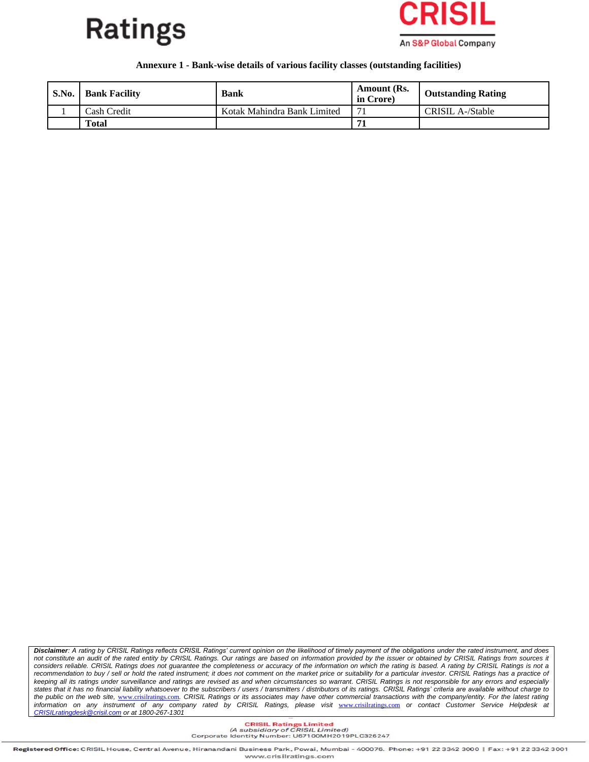



#### **Annexure 1 - Bank-wise details of various facility classes (outstanding facilities)**

| S.No. | <b>Bank Facility</b> | <b>Bank</b>                 | Amount (Rs.<br>in Crore) | <b>Outstanding Rating</b> |
|-------|----------------------|-----------------------------|--------------------------|---------------------------|
|       | Cash Credit          | Kotak Mahindra Bank Limited |                          | CRISIL A-/Stable          |
|       | <b>Total</b>         |                             |                          |                           |

*Disclaimer: A rating by CRISIL Ratings reflects CRISIL Ratings' current opinion on the likelihood of timely payment of the obligations under the rated instrument, and does not constitute an audit of the rated entity by CRISIL Ratings. Our ratings are based on information provided by the issuer or obtained by CRISIL Ratings from sources it*  considers reliable. CRISIL Ratings does not guarantee the completeness or accuracy of the information on which the rating is based. A rating by CRISIL Ratings is not a recommendation to buy / sell or hold the rated instrument; it does not comment on the market price or suitability for a particular investor. CRISIL Ratings has a practice of *keeping all its ratings under surveillance and ratings are revised as and when circumstances so warrant. CRISIL Ratings is not responsible for any errors and especially states that it has no financial liability whatsoever to the subscribers / users / transmitters / distributors of its ratings. CRISIL Ratings' criteria are available without charge to the public on the web site,* [www.crisilratings.com](https://ind01.safelinks.protection.outlook.com/?url=http%3A%2F%2Fwww.crisilratings.com%2F&data=04%7C01%7CGude.Suryanarayana%40crisil.com%7Ccfee94fe0b3546aa5b0c08da17c76019%7C4d8b04bf7a7c48a0b6e338da5008297e%7C0%7C0%7C637848442366455053%7CUnknown%7CTWFpbGZsb3d8eyJWIjoiMC4wLjAwMDAiLCJQIjoiV2luMzIiLCJBTiI6Ik1haWwiLCJXVCI6Mn0%3D%7C3000&sdata=LRFha3%2FuqKohHjvr02HXOKSKTE6h7Ls3lQWaGu5TlxM%3D&reserved=0)*. CRISIL Ratings or its associates may have other commercial transactions with the company/entity. For the latest rating information on any instrument of any company rated by CRISIL Ratings, please visit* [www.crisilratings.com](http://www.crisilratings.com/) *or contact Customer Service Helpdesk at [CRISILratingdesk@crisil.com](mailto:CRISILratingdesk@crisil.com) or at 1800-267-1301*

> **CRISIL Ratings Limited**<br>(A subsidiary of CRISIL Limited) Corporate Identity Number: U67100MH2019PLC326247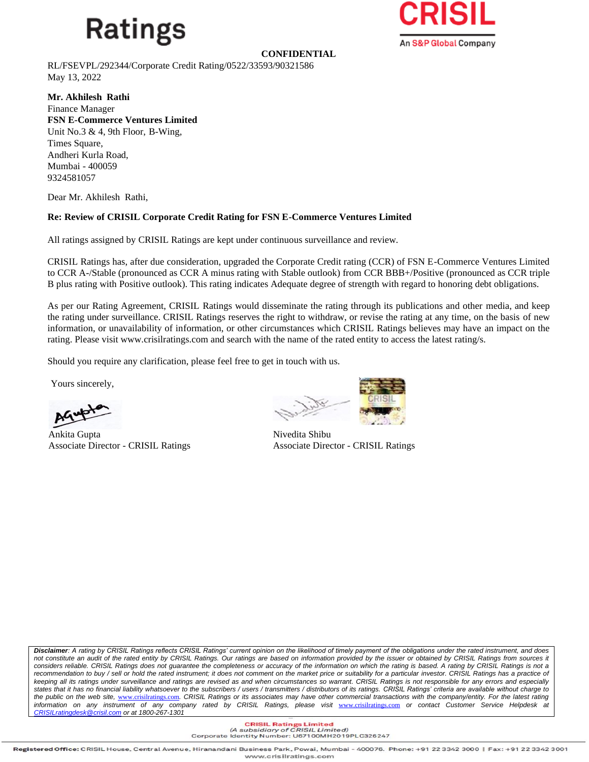# Ratings



**CONFIDENTIAL**

RL/FSEVPL/292344/Corporate Credit Rating/0522/33593/90321586 May 13, 2022

**Mr. Akhilesh Rathi**  Finance Manager **FSN E-Commerce Ventures Limited** Unit No.3 & 4, 9th Floor, B-Wing, Times Square, Andheri Kurla Road, Mumbai - 400059 9324581057

Dear Mr. Akhilesh Rathi,

### **Re: Review of CRISIL Corporate Credit Rating for FSN E-Commerce Ventures Limited**

All ratings assigned by CRISIL Ratings are kept under continuous surveillance and review.

CRISIL Ratings has, after due consideration, upgraded the Corporate Credit rating (CCR) of FSN E-Commerce Ventures Limited to CCR A-/Stable (pronounced as CCR A minus rating with Stable outlook) from CCR BBB+/Positive (pronounced as CCR triple B plus rating with Positive outlook). This rating indicates Adequate degree of strength with regard to honoring debt obligations.

As per our Rating Agreement, CRISIL Ratings would disseminate the rating through its publications and other media, and keep the rating under surveillance. CRISIL Ratings reserves the right to withdraw, or revise the rating at any time, on the basis of new information, or unavailability of information, or other circumstances which CRISIL Ratings believes may have an impact on the rating. Please visit www.crisilratings.com and search with the name of the rated entity to access the latest rating/s.

Should you require any clarification, please feel free to get in touch with us.

Yours sincerely,

Ankita Gupta Nivedita Shibu

Associate Director - CRISIL Ratings Associate Director - CRISIL Ratings

*Disclaimer: A rating by CRISIL Ratings reflects CRISIL Ratings' current opinion on the likelihood of timely payment of the obligations under the rated instrument, and does*  not constitute an audit of the rated entity by CRISIL Ratings. Our ratings are based on information provided by the issuer or obtained by CRISIL Ratings from sources it considers reliable. CRISIL Ratings does not guarantee the completeness or accuracy of the information on which the rating is based. A rating by CRISIL Ratings is not a recommendation to buy / sell or hold the rated instrument; it does not comment on the market price or suitability for a particular investor. CRISIL Ratings has a practice of *keeping all its ratings under surveillance and ratings are revised as and when circumstances so warrant. CRISIL Ratings is not responsible for any errors and especially states that it has no financial liability whatsoever to the subscribers / users / transmitters / distributors of its ratings. CRISIL Ratings' criteria are available without charge to the public on the web site,* [www.crisilratings.com](https://ind01.safelinks.protection.outlook.com/?url=http%3A%2F%2Fwww.crisilratings.com%2F&data=04%7C01%7CGude.Suryanarayana%40crisil.com%7Ccfee94fe0b3546aa5b0c08da17c76019%7C4d8b04bf7a7c48a0b6e338da5008297e%7C0%7C0%7C637848442366455053%7CUnknown%7CTWFpbGZsb3d8eyJWIjoiMC4wLjAwMDAiLCJQIjoiV2luMzIiLCJBTiI6Ik1haWwiLCJXVCI6Mn0%3D%7C3000&sdata=LRFha3%2FuqKohHjvr02HXOKSKTE6h7Ls3lQWaGu5TlxM%3D&reserved=0)*. CRISIL Ratings or its associates may have other commercial transactions with the company/entity. For the latest rating information on any instrument of any company rated by CRISIL Ratings, please visit* [www.crisilratings.com](http://www.crisilratings.com/) *or contact Customer Service Helpdesk at [CRISILratingdesk@crisil.com](mailto:CRISILratingdesk@crisil.com) or at 1800-267-1301*